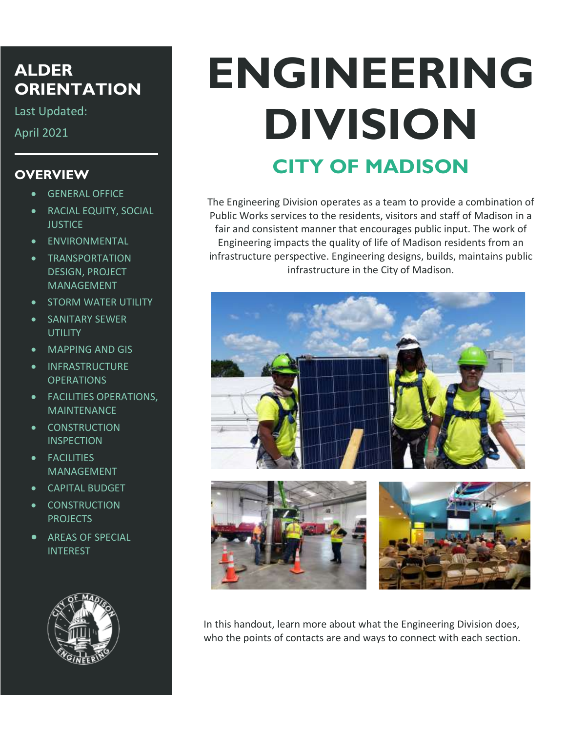### **ALDER ORIENTATION**

Last Updated:

April 2021

### **OVERVIEW**

- GENERAL OFFICE
- RACIAL EQUITY, SOCIAL **JUSTICE**
- ENVIRONMENTAL
- TRANSPORTATION DESIGN, PROJECT MANAGEMENT
- STORM WATER UTILITY
- SANITARY SEWER UTILITY
- MAPPING AND GIS
- INFRASTRUCTURE **OPERATIONS**
- FACILITIES OPERATIONS, **MAINTENANCE**
- CONSTRUCTION **INSPECTION**
- FACILITIES MANAGEMENT
- CAPITAL BUDGET
- CONSTRUCTION PROJECTS
- **AREAS OF SPECIAL** INTEREST



# **ENGINEERING DIVISION CITY OF MADISON**

The Engineering Division operates as a team to provide a combination of Public Works services to the residents, visitors and staff of Madison in a fair and consistent manner that encourages public input. The work of Engineering impacts the quality of life of Madison residents from an infrastructure perspective. Engineering designs, builds, maintains public infrastructure in the City of Madison.



In this handout, learn more about what the Engineering Division does, who the points of contacts are and ways to connect with each section.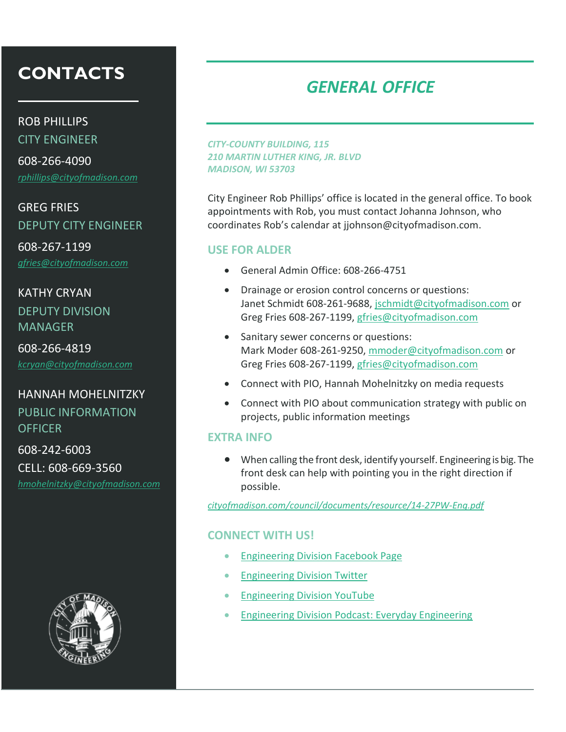ROB PHILLIPS

CITY ENGINEER

608-266-4090 *[rphillips@cityofmadison.com](mailto:rphillips@cityofmadison.com)*

GREG FRIES DEPUTY CITY ENGINEER

608-267-1199 *[gfries@cityofmadison.com](mailto:gfries@cityofmadison.com)*

### KATHY CRYAN DEPUTY DIVISION MANAGER

608-266-4819

*[kcryan@cityofmadison.com](mailto:kcryan@cityofmadison.com)*

### HANNAH MOHELNITZKY

PUBLIC INFORMATION OFFICER

608-242-6003 CELL: 608-669-3560

*[hmohelnitzky@cityofmadison.com](mailto:hmohelnitzky@cityofmadison.com)*



#### *CITY-COUNTY BUILDING, 115 210 MARTIN LUTHER KING, JR. BLVD MADISON, WI 53703*

City Engineer Rob Phillips' office is located in the general office. To book appointments with Rob, you must contact Johanna Johnson, who coordinates Rob's calendar at jjohnson@cityofmadison.com.

#### **USE FOR ALDER**

- General Admin Office: 608-266-4751
- Drainage or erosion control concerns or questions: Janet Schmidt 608-261-9688, [jschmidt@cityofmadison.com](mailto:jschmidt@cityofmadison.com) or Greg Fries 608-267-1199, [gfries@cityofmadison.com](mailto:gfries@cityofmadison.com)
- Sanitary sewer concerns or questions: Mark Moder 608-261-9250[, mmoder@cityofmadison.com](mailto:mmoder@cityofmadison.com) or Greg Fries 608-267-1199, [gfries@cityofmadison.com](mailto:gfries@cityofmadison.com)
- Connect with PIO, Hannah Mohelnitzky on media requests
- Connect with PIO about communication strategy with public on projects, public information meetings

#### **EXTRA INFO**

 When calling the front desk, identify yourself. Engineering is big. The front desk can help with pointing you in the right direction if possible.

*[cityofmadison.com/council/documents/resource/14-27PW-Eng.pdf](http://www.cityofmadison.com/council/documents/resource/14-27PW-Eng.pdf)*

#### **CONNECT WITH US!**

- [Engineering Division Facebook Page](https://www.facebook.com/CityOfMadisonEngineering)
- [Engineering Division Twitter](https://twitter.com/MadisonEngr)
- [Engineering Division YouTube](https://www.youtube.com/channel/UCdBYclMbbxgRy-pksoQPP2A)
- [Engineering Division Podcast: Everyday Engineering](https://link.chtbl.com/Eng)

# *GENERAL OFFICE*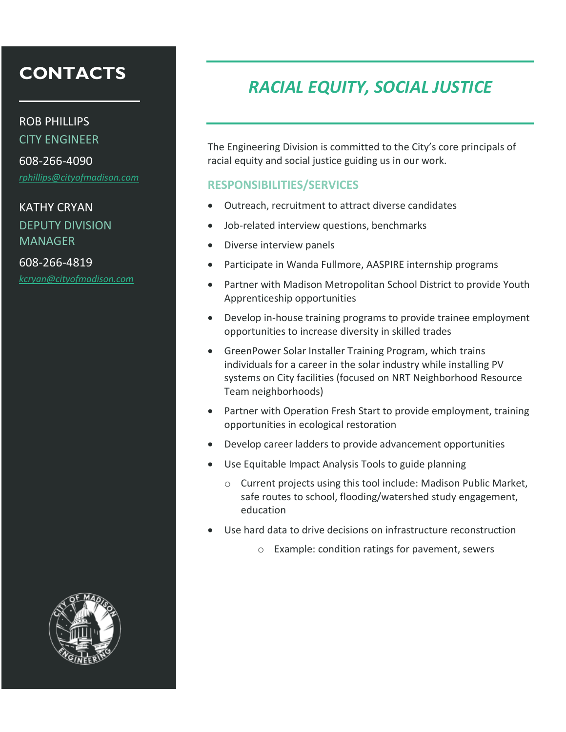#### ROB PHILLIPS

CITY ENGINEER

608-266-4090 *[rphillips@cityofmadison.com](mailto:rphillips@cityofmadison.com)* 

### KATHY CRYAN DEPUTY DIVISION MANAGER

608-266-4819 *[kcryan@cityofmadison.com](mailto:kcryan@cityofmadison.com)* 



# *RACIAL EQUITY, SOCIAL JUSTICE*

The Engineering Division is committed to the City's core principals of racial equity and social justice guiding us in our work.

#### **RESPONSIBILITIES/SERVICES**

- Outreach, recruitment to attract diverse candidates
- Job-related interview questions, benchmarks
- Diverse interview panels
- Participate in Wanda Fullmore, AASPIRE internship programs
- Partner with Madison Metropolitan School District to provide Youth Apprenticeship opportunities
- Develop in-house training programs to provide trainee employment opportunities to increase diversity in skilled trades
- GreenPower Solar Installer Training Program, which trains individuals for a career in the solar industry while installing PV systems on City facilities (focused on NRT Neighborhood Resource Team neighborhoods)
- Partner with Operation Fresh Start to provide employment, training opportunities in ecological restoration
- Develop career ladders to provide advancement opportunities
- Use Equitable Impact Analysis Tools to guide planning
	- o Current projects using this tool include: Madison Public Market, safe routes to school, flooding/watershed study engagement, education
- Use hard data to drive decisions on infrastructure reconstruction
	- o Example: condition ratings for pavement, sewers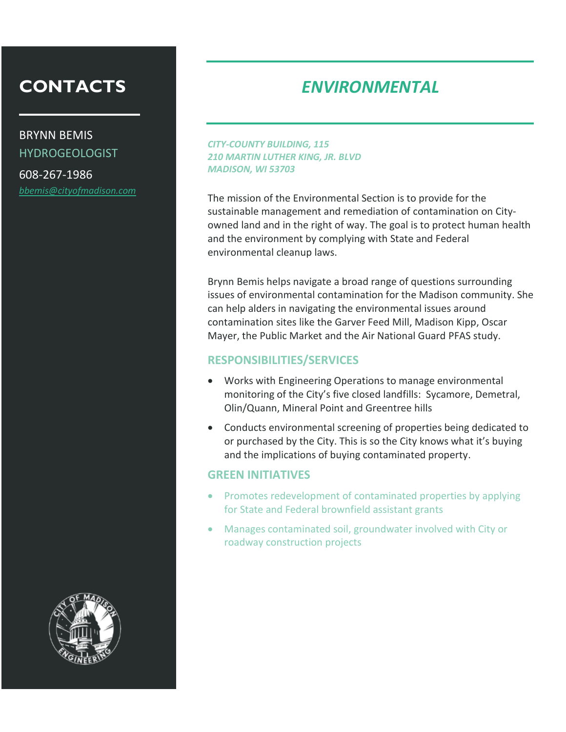BRYNN BEMIS HYDROGEOLOGIST

608-267-1986 *[bbemis@cityofmadison.com](mailto:bbemis@cityofmadison.com)*

### *ENVIRONMENTAL*

*CITY-COUNTY BUILDING, 115 210 MARTIN LUTHER KING, JR. BLVD MADISON, WI 53703*

The mission of the Environmental Section is to provide for the sustainable management and remediation of contamination on Cityowned land and in the right of way. The goal is to protect human health and the environment by complying with State and Federal environmental cleanup laws.

Brynn Bemis helps navigate a broad range of questions surrounding issues of environmental contamination for the Madison community. She can help alders in navigating the environmental issues around contamination sites like the Garver Feed Mill, Madison Kipp, Oscar Mayer, the Public Market and the Air National Guard PFAS study.

#### **RESPONSIBILITIES/SERVICES**

- Works with Engineering Operations to manage environmental monitoring of the City's five closed landfills: Sycamore, Demetral, Olin/Quann, Mineral Point and Greentree hills
- Conducts environmental screening of properties being dedicated to or purchased by the City. This is so the City knows what it's buying and the implications of buying contaminated property.

- Promotes redevelopment of contaminated properties by applying for State and Federal brownfield assistant grants
- Manages contaminated soil, groundwater involved with City or roadway construction projects

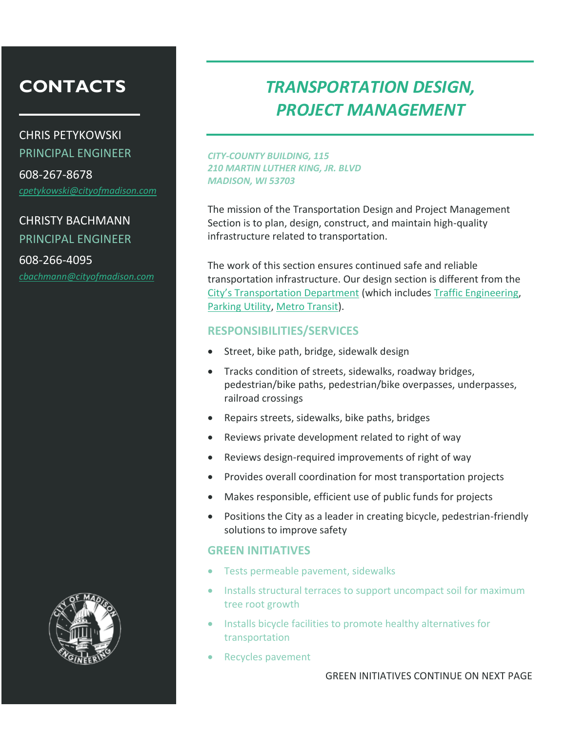CHRIS PETYKOWSKI PRINCIPAL ENGINEER

608-267-8678 *[cpetykowski@cityofmadison.com](mailto:cpetykowski@cityofmadison.com)*

CHRISTY BACHMANN PRINCIPAL ENGINEER

608-266-4095 *[cbachmann@cityofmadison.com](mailto:cbachmann@cityofmadison.com)*



### *TRANSPORTATION DESIGN, PROJECT MANAGEMENT*

*CITY-COUNTY BUILDING, 115 210 MARTIN LUTHER KING, JR. BLVD MADISON, WI 53703*

The mission of the Transportation Design and Project Management Section is to plan, design, construct, and maintain high-quality infrastructure related to transportation.

The work of this section ensures continued safe and reliable transportation infrastructure. Our design section is different from the [City's Transportation Department](https://www.cityofmadison.com/transportation) (which includes [Traffic Engineering,](http://www.cityofmadison.com/trafficengineering/) [Parking Utility,](https://www.cityofmadison.com/parking-utility) [Metro Transit\)](http://www.cityofmadison.com/metro).

#### **RESPONSIBILITIES/SERVICES**

- Street, bike path, bridge, sidewalk design
- Tracks condition of streets, sidewalks, roadway bridges, pedestrian/bike paths, pedestrian/bike overpasses, underpasses, railroad crossings
- Repairs streets, sidewalks, bike paths, bridges
- Reviews private development related to right of way
- Reviews design-required improvements of right of way
- Provides overall coordination for most transportation projects
- Makes responsible, efficient use of public funds for projects
- Positions the City as a leader in creating bicycle, pedestrian-friendly solutions to improve safety

- Tests permeable pavement, sidewalks
- Installs structural terraces to support uncompact soil for maximum tree root growth
- Installs bicycle facilities to promote healthy alternatives for transportation
- Recycles pavement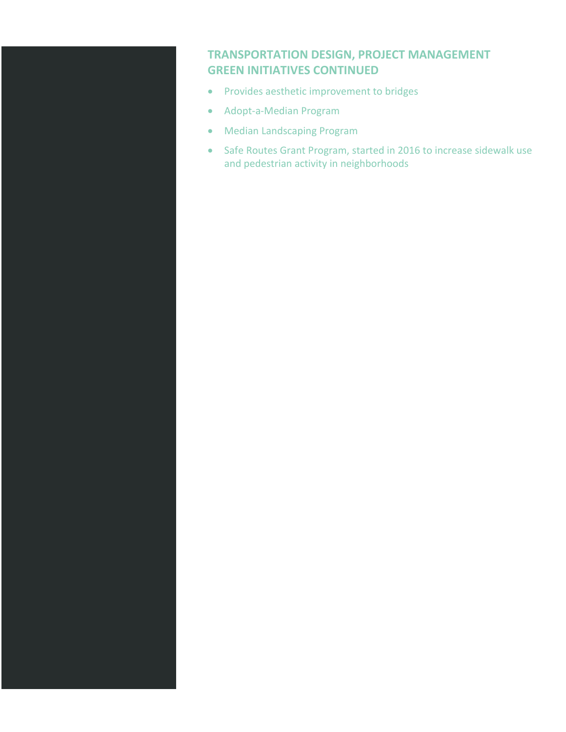### **TRANSPORTATION DESIGN, PROJECT MANAGEMENT GREEN INITIATIVES CONTINUED**

- Provides aesthetic improvement to bridges
- Adopt-a-Median Program
- Median Landscaping Program
- Safe Routes Grant Program, started in 2016 to increase sidewalk use and pedestrian activity in neighborhoods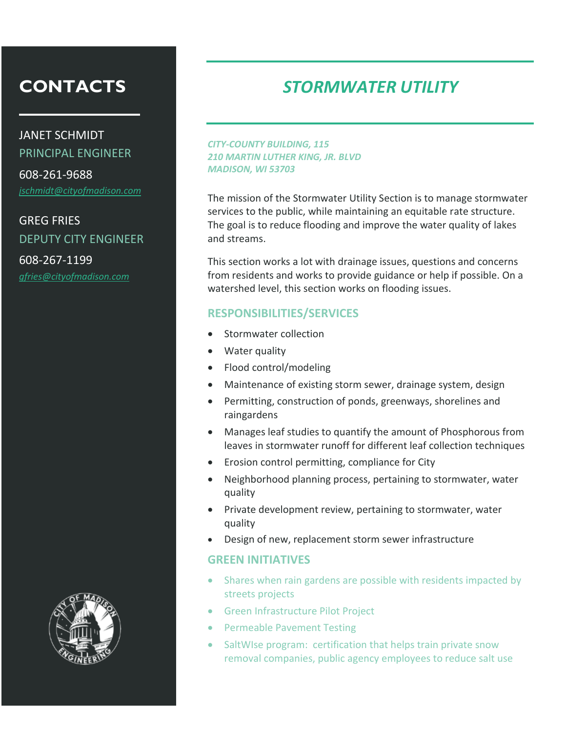JANET SCHMIDT PRINCIPAL ENGINEER

608-261-9688 *[jschmidt@cityofmadison.com](mailto:jschmidt@cityofmadison.com)*

GREG FRIES DEPUTY CITY ENGINEER

608-267-1199 *[gfries@cityofmadison.com](mailto:gfries@cityofmadison.com)*



### *STORMWATER UTILITY*

*CITY-COUNTY BUILDING, 115 210 MARTIN LUTHER KING, JR. BLVD MADISON, WI 53703*

The mission of the Stormwater Utility Section is to manage stormwater services to the public, while maintaining an equitable rate structure. The goal is to reduce flooding and improve the water quality of lakes and streams.

This section works a lot with drainage issues, questions and concerns from residents and works to provide guidance or help if possible. On a watershed level, this section works on flooding issues.

#### **RESPONSIBILITIES/SERVICES**

- Stormwater collection
- Water quality
- Flood control/modeling
- Maintenance of existing storm sewer, drainage system, design
- Permitting, construction of ponds, greenways, shorelines and raingardens
- Manages leaf studies to quantify the amount of Phosphorous from leaves in stormwater runoff for different leaf collection techniques
- **•** Erosion control permitting, compliance for City
- Neighborhood planning process, pertaining to stormwater, water quality
- Private development review, pertaining to stormwater, water quality
- Design of new, replacement storm sewer infrastructure

- Shares when rain gardens are possible with residents impacted by streets projects
- Green Infrastructure Pilot Project
- Permeable Pavement Testing
- SaltWIse program: certification that helps train private snow removal companies, public agency employees to reduce salt use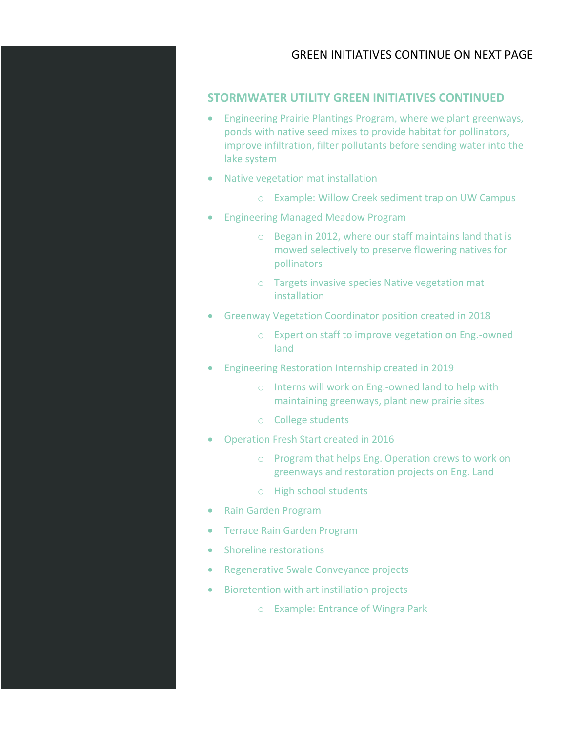#### GREEN INITIATIVES CONTINUE ON NEXT PAGE

#### **STORMWATER UTILITY GREEN INITIATIVES CONTINUED**

- Engineering Prairie Plantings Program, where we plant greenways, ponds with native seed mixes to provide habitat for pollinators, improve infiltration, filter pollutants before sending water into the lake system
- Native vegetation mat installation
	- o Example: Willow Creek sediment trap on UW Campus
- Engineering Managed Meadow Program
	- o Began in 2012, where our staff maintains land that is mowed selectively to preserve flowering natives for pollinators
	- o Targets invasive species Native vegetation mat installation
- Greenway Vegetation Coordinator position created in 2018
	- o Expert on staff to improve vegetation on Eng.-owned land
- Engineering Restoration Internship created in 2019
	- o Interns will work on Eng.-owned land to help with maintaining greenways, plant new prairie sites
	- o College students
- Operation Fresh Start created in 2016
	- o Program that helps Eng. Operation crews to work on greenways and restoration projects on Eng. Land
	- o High school students
- Rain Garden Program
- Terrace Rain Garden Program
- Shoreline restorations
- Regenerative Swale Conveyance projects
- Bioretention with art instillation projects
	- o Example: Entrance of Wingra Park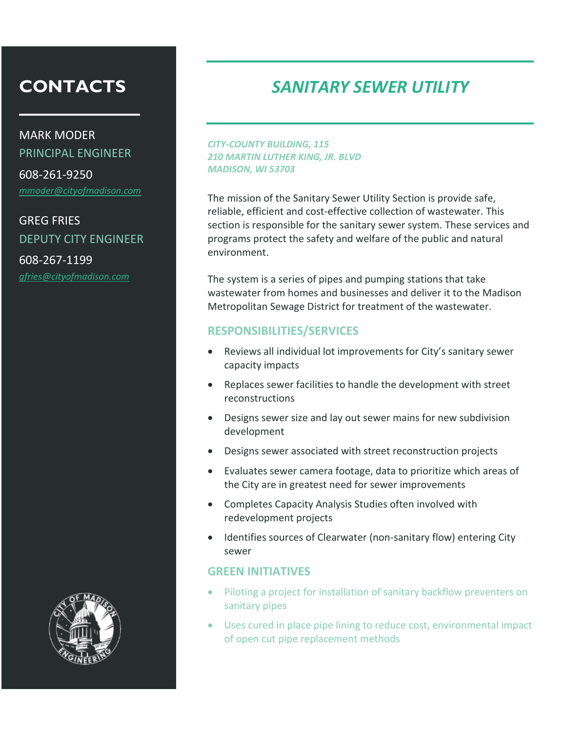MARK MODER PRINCIPAL ENGINEER

608-261-9250 *[mmoder@cityofmadison.com](mailto:mmoder@cityofmadison.com)*

GREG FRIES DEPUTY CITY ENGINEER

608-267-1199 *[gfries@cityofmadison.com](mailto:gfries@cityofmadison.com)*



### *SANITARY SEWER UTILITY*

*CITY-COUNTY BUILDING, 115 210 MARTIN LUTHER KING, JR. BLVD MADISON, WI 53703*

The mission of the Sanitary Sewer Utility Section is provide safe, reliable, efficient and cost-effective collection of wastewater. This section is responsible for the sanitary sewer system. These services and programs protect the safety and welfare of the public and natural environment.

The system is a series of pipes and pumping stations that take wastewater from homes and businesses and deliver it to the Madison Metropolitan Sewage District for treatment of the wastewater.

#### **RESPONSIBILITIES/SERVICES**

- Reviews all individual lot improvements for City's sanitary sewer capacity impacts
- Replaces sewer facilities to handle the development with street reconstructions
- Designs sewer size and lay out sewer mains for new subdivision development
- Designs sewer associated with street reconstruction projects
- Evaluates sewer camera footage, data to prioritize which areas of the City are in greatest need for sewer improvements
- Completes Capacity Analysis Studies often involved with redevelopment projects
- Identifies sources of Clearwater (non-sanitary flow) entering City sewer

- Piloting a project for installation of sanitary backflow preventers on sanitary pipes
- Uses cured in place pipe lining to reduce cost, environmental impact of open cut pipe replacement methods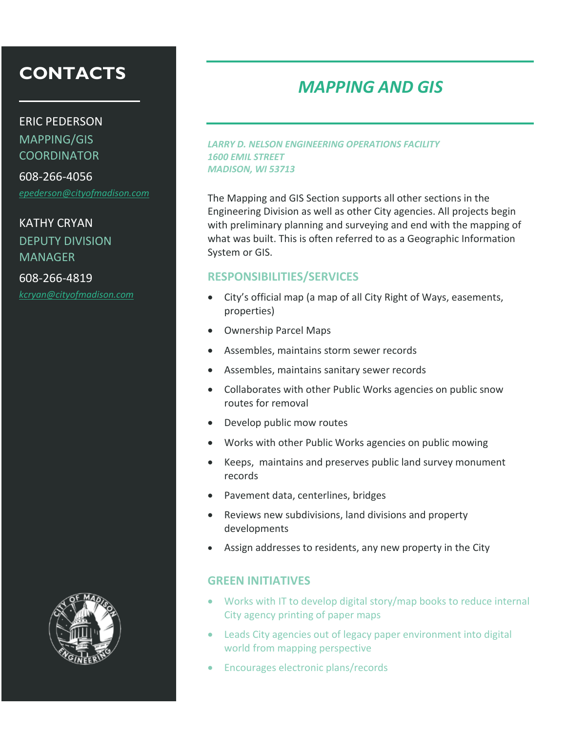#### ERIC PEDERSON

MAPPING/GIS COORDINATOR

608-266-4056 *[epederson@cityofmadison.com](mailto:epederson@cityofmadison.com)*

KATHY CRYAN DEPUTY DIVISION **MANAGER** 

608-266-4819 *[kcryan@cityofmadison.com](mailto:kcryan@cityofmadison.com)*



### *MAPPING AND GIS*

*LARRY D. NELSON ENGINEERING OPERATIONS FACILITY 1600 EMIL STREET MADISON, WI 53713*

The Mapping and GIS Section supports all other sections in the Engineering Division as well as other City agencies. All projects begin with preliminary planning and surveying and end with the mapping of what was built. This is often referred to as a Geographic Information System or GIS.

#### **RESPONSIBILITIES/SERVICES**

- City's official map (a map of all City Right of Ways, easements, properties)
- Ownership Parcel Maps
- Assembles, maintains storm sewer records
- Assembles, maintains sanitary sewer records
- Collaborates with other Public Works agencies on public snow routes for removal
- Develop public mow routes
- Works with other Public Works agencies on public mowing
- Keeps, maintains and preserves public land survey monument records
- Pavement data, centerlines, bridges
- Reviews new subdivisions, land divisions and property developments
- Assign addresses to residents, any new property in the City

- Works with IT to develop digital story/map books to reduce internal City agency printing of paper maps
- Leads City agencies out of legacy paper environment into digital world from mapping perspective
- Encourages electronic plans/records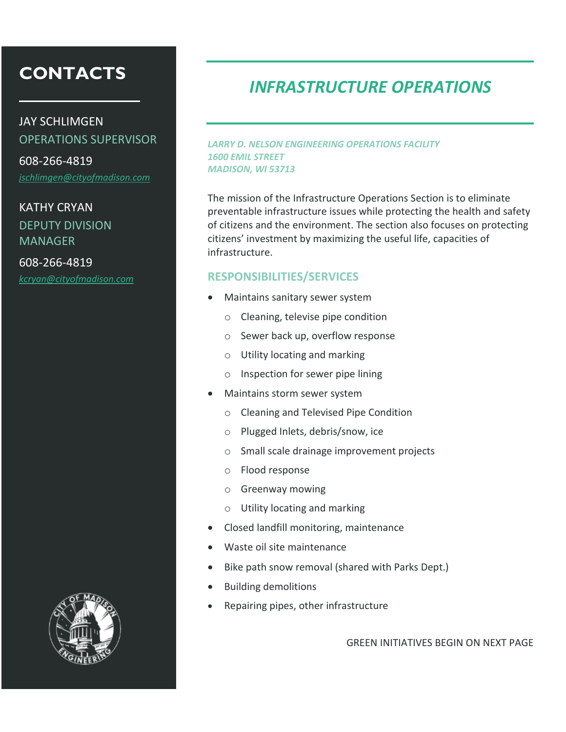### JAY SCHLIMGEN OPERATIONS SUPERVISOR

608-266-4819 *[jschlimgen@cityofmadison.com](mailto:jschlimgen@cityofmadison.com)*

### KATHY CRYAN DEPUTY DIVISION MANAGER

608-266-4819 *[kcryan@cityofmadison.com](mailto:kcryan@cityofmadison.com)*



### *INFRASTRUCTURE OPERATIONS*

*LARRY D. NELSON ENGINEERING OPERATIONS FACILITY 1600 EMIL STREET MADISON, WI 53713*

The mission of the Infrastructure Operations Section is to eliminate preventable infrastructure issues while protecting the health and safety of citizens and the environment. The section also focuses on protecting citizens' investment by maximizing the useful life, capacities of infrastructure.

#### **RESPONSIBILITIES/SERVICES**

- Maintains sanitary sewer system
	- o Cleaning, televise pipe condition
	- o Sewer back up, overflow response
	- o Utility locating and marking
	- o Inspection for sewer pipe lining
- Maintains storm sewer system
	- o Cleaning and Televised Pipe Condition
	- o Plugged Inlets, debris/snow, ice
	- o Small scale drainage improvement projects
	- o Flood response
	- o Greenway mowing
	- o Utility locating and marking
- Closed landfill monitoring, maintenance
- Waste oil site maintenance
- Bike path snow removal (shared with Parks Dept.)
- Building demolitions
- Repairing pipes, other infrastructure

GREEN INITIATIVES BEGIN ON NEXT PAGE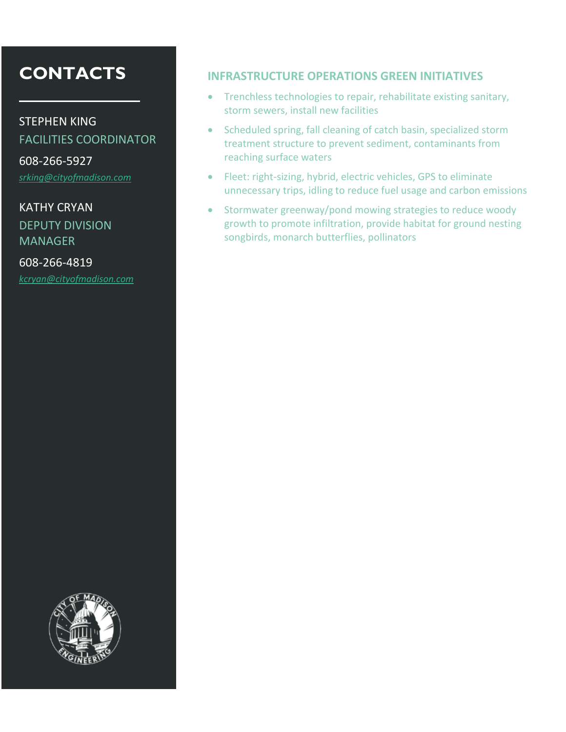STEPHEN KING

FACILITIES COORDINATOR

608-266-5927 *[srking@cityofmadison.com](mailto:srking@cityofmadison.com)*

KATHY CRYAN DEPUTY DIVISION **MANAGER** 

608-266-4819 *[kcryan@cityofmadison.com](mailto:kcryan@cityofmadison.com)*

#### **INFRASTRUCTURE OPERATIONS GREEN INITIATIVES**

- Trenchless technologies to repair, rehabilitate existing sanitary, storm sewers, install new facilities
- Scheduled spring, fall cleaning of catch basin, specialized storm treatment structure to prevent sediment, contaminants from reaching surface waters
- Fleet: right-sizing, hybrid, electric vehicles, GPS to eliminate unnecessary trips, idling to reduce fuel usage and carbon emissions
- Stormwater greenway/pond mowing strategies to reduce woody growth to promote infiltration, provide habitat for ground nesting songbirds, monarch butterflies, pollinators

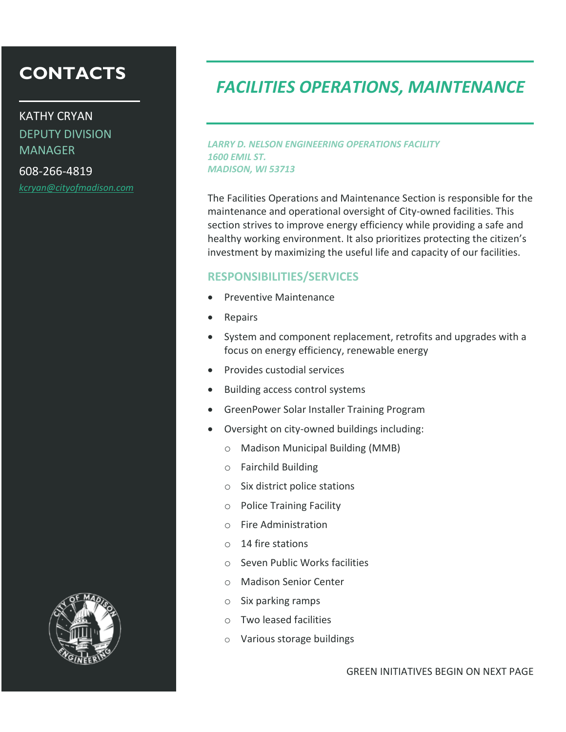KATHY CRYAN DEPUTY DIVISION **MANAGER** 

608-266-4819 *[kcryan@cityofmadison.com](mailto:kcryan@cityofmadison.com)*

### *FACILITIES OPERATIONS, MAINTENANCE*

*LARRY D. NELSON ENGINEERING OPERATIONS FACILITY 1600 EMIL ST. MADISON, WI 53713*

The Facilities Operations and Maintenance Section is responsible for the maintenance and operational oversight of City-owned facilities. This section strives to improve energy efficiency while providing a safe and healthy working environment. It also prioritizes protecting the citizen's investment by maximizing the useful life and capacity of our facilities.

#### **RESPONSIBILITIES/SERVICES**

- Preventive Maintenance
- Repairs
- System and component replacement, retrofits and upgrades with a focus on energy efficiency, renewable energy
- Provides custodial services
- Building access control systems
- GreenPower Solar Installer Training Program
- Oversight on city-owned buildings including:
	- o Madison Municipal Building (MMB)
	- o Fairchild Building
	- o Six district police stations
	- o Police Training Facility
	- o Fire Administration
	- o 14 fire stations
	- o Seven Public Works facilities
	- o Madison Senior Center
	- o Six parking ramps
	- o Two leased facilities
	- o Various storage buildings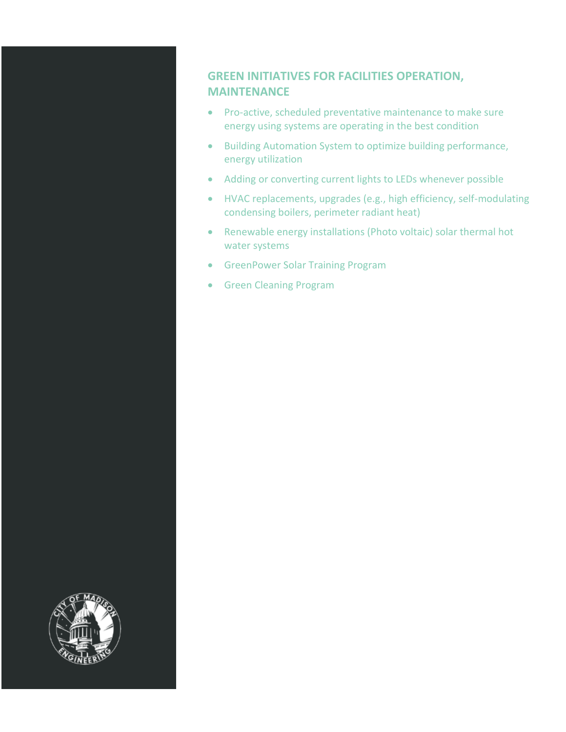#### **GREEN INITIATIVES FOR FACILITIES OPERATION, MAINTENANCE**

- Pro-active, scheduled preventative maintenance to make sure energy using systems are operating in the best condition
- Building Automation System to optimize building performance, energy utilization
- Adding or converting current lights to LEDs whenever possible
- HVAC replacements, upgrades (e.g., high efficiency, self-modulating condensing boilers, perimeter radiant heat)
- Renewable energy installations (Photo voltaic) solar thermal hot water systems
- **GreenPower Solar Training Program**
- **•** Green Cleaning Program

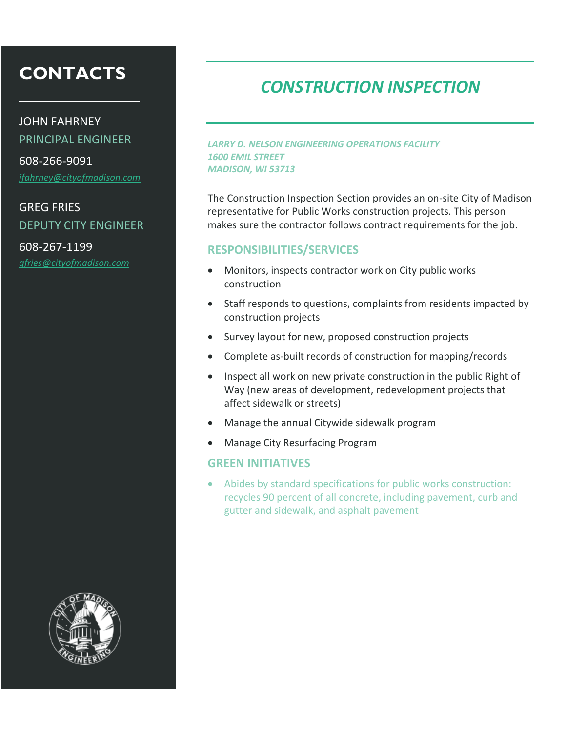JOHN FAHRNEY PRINCIPAL ENGINEER 608-266-9091 *[jfahrney@cityofmadison.com](mailto:jfahrney@cityofmadison.com)*

### GREG FRIES DEPUTY CITY ENGINEER

608-267-1199 *[gfries@cityofmadison.com](mailto:gfries@cityofmadison.com)*



### *CONSTRUCTION INSPECTION*

*LARRY D. NELSON ENGINEERING OPERATIONS FACILITY 1600 EMIL STREET MADISON, WI 53713*

The Construction Inspection Section provides an on-site City of Madison representative for Public Works construction projects. This person makes sure the contractor follows contract requirements for the job.

#### **RESPONSIBILITIES/SERVICES**

- Monitors, inspects contractor work on City public works construction
- Staff responds to questions, complaints from residents impacted by construction projects
- Survey layout for new, proposed construction projects
- Complete as-built records of construction for mapping/records
- Inspect all work on new private construction in the public Right of Way (new areas of development, redevelopment projects that affect sidewalk or streets)
- Manage the annual Citywide sidewalk program
- Manage City Resurfacing Program

#### **GREEN INITIATIVES**

 Abides by standard specifications for public works construction: recycles 90 percent of all concrete, including pavement, curb and gutter and sidewalk, and asphalt pavement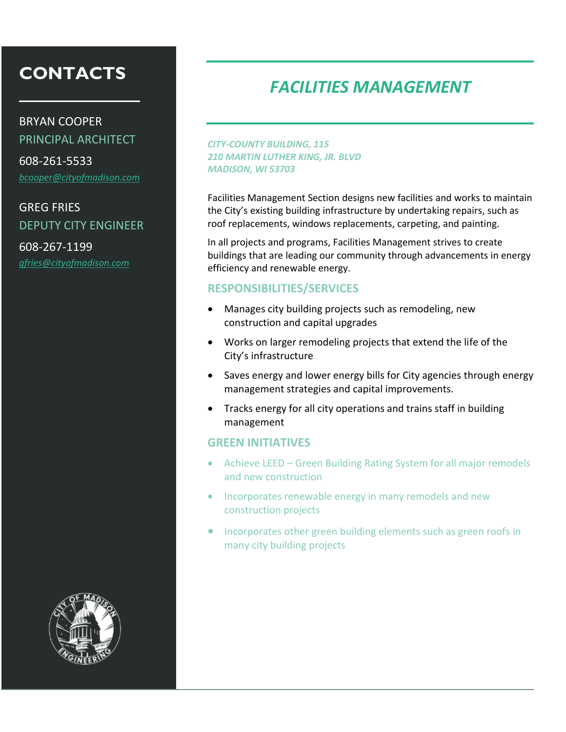BRYAN COOPER PRINCIPAL ARCHITECT

608-261-5533 *[bcooper@cityofmadison.com](mailto:bcooper@cityofmadison.com)*

### GREG FRIES DEPUTY CITY ENGINEER

608-267-1199 *[gfries@cityofmadison.com](mailto:gfries@cityofmadison.com)*



### *FACILITIES MANAGEMENT*

*CITY-COUNTY BUILDING, 115 210 MARTIN LUTHER KING, JR. BLVD MADISON, WI 53703*

Facilities Management Section designs new facilities and works to maintain the City's existing building infrastructure by undertaking repairs, such as roof replacements, windows replacements, carpeting, and painting.

In all projects and programs, Facilities Management strives to create buildings that are leading our community through advancements in energy efficiency and renewable energy.

#### **RESPONSIBILITIES/SERVICES**

- Manages city building projects such as remodeling, new construction and capital upgrades
- Works on larger remodeling projects that extend the life of the City's infrastructure
- Saves energy and lower energy bills for City agencies through energy management strategies and capital improvements.
- Tracks energy for all city operations and trains staff in building management

- Achieve LEED Green Building Rating System for all major remodels and new construction
- Incorporates renewable energy in many remodels and new construction projects
- Incorporates other green building elements such as green roofs in many city building projects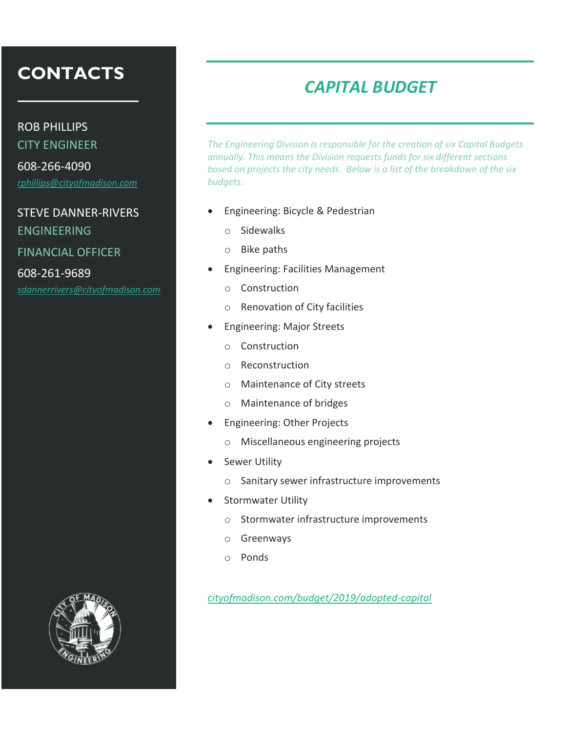ROB PHILLIPS

CITY ENGINEER

608-266-4090 *[rphillips@cityofmadison.com](mailto:rphillips@cityofmadison.com)*

#### STEVE DANNER-RIVERS

ENGINEERING

FINANCIAL OFFICER

608-261-9689 *[sdannerrivers@cityofmadison.com](mailto:sdannerrivers@cityofmadison.com)*

### *CAPITAL BUDGET*

*The Engineering Division is responsible for the creation of six Capital Budgets annually. This means the Division requests funds for six different sections based on projects the city needs. Below is a list of the breakdown of the six budgets.*

- Engineering: Bicycle & Pedestrian
	- o Sidewalks
	- o Bike paths
- Engineering: Facilities Management
	- o Construction
	- o Renovation of City facilities
- Engineering: Major Streets
	- o Construction
	- o Reconstruction
	- o Maintenance of City streets
	- o Maintenance of bridges
- Engineering: Other Projects
	- o Miscellaneous engineering projects
- **•** Sewer Utility
	- o Sanitary sewer infrastructure improvements
- Stormwater Utility
	- o Stormwater infrastructure improvements
	- o Greenways
	- o Ponds

*[cityofmadison.com/budget/2019/adopted-capital](http://www.cityofmadison.com/budget/2019/adopted-capital)*

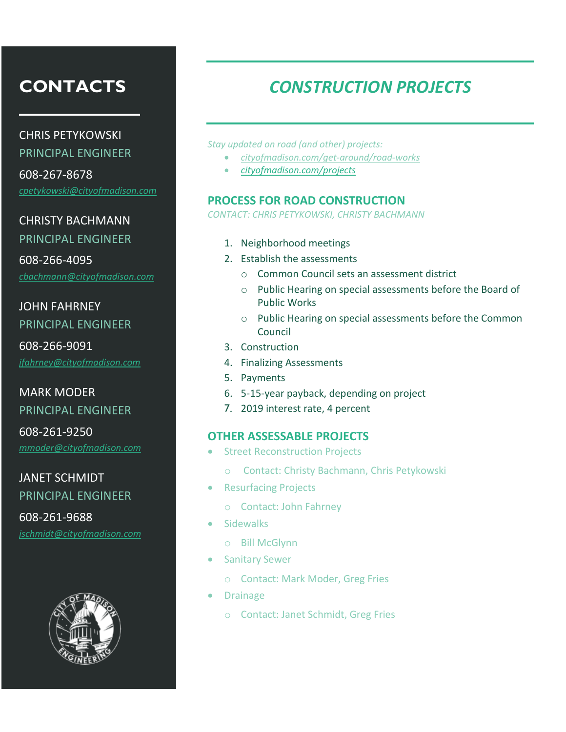CHRIS PETYKOWSKI PRINCIPAL ENGINEER

608-267-8678 *[cpetykowski@cityofmadison.com](mailto:cpetykowski@cityofmadison.com)*

CHRISTY BACHMANN PRINCIPAL ENGINEER

608-266-4095 *[cbachmann@cityofmadison.com](mailto:cbachmann@cityofmadison.com)*

JOHN FAHRNEY PRINCIPAL ENGINEER

608-266-9091 *[jfahrney@cityofmadison.com](mailto:jfahrney@cityofmadison.com)*

### MARK MODER PRINCIPAL ENGINEER

608-261-9250 *[mmoder@cityofmadison.com](mailto:mmoder@cityofmadison.com)*

JANET SCHMIDT PRINCIPAL ENGINEER 608-261-9688

*[jschmidt@cityofmadison.com](mailto:jschmidt@cityofmadison.com)*



# *CONSTRUCTION PROJECTS*

*Stay updated on road (and other) projects:* 

- *[cityofmadison.com/get-around/road-works](https://www.cityofmadison.com/get-around/road-works)*
- *[cityofmadison.com/projects](https://www.cityofmadison.com/projects)*

#### **PROCESS FOR ROAD CONSTRUCTION**

*CONTACT: CHRIS PETYKOWSKI, CHRISTY BACHMANN*

- 1. Neighborhood meetings
- 2. Establish the assessments
	- o Common Council sets an assessment district
	- o Public Hearing on special assessments before the Board of Public Works
	- o Public Hearing on special assessments before the Common Council
- 3. Construction
- 4. Finalizing Assessments
- 5. Payments
- 6. 5-15-year payback, depending on project
- 7. 2019 interest rate, 4 percent

#### **OTHER ASSESSABLE PROJECTS**

- Street Reconstruction Projects
	- o Contact: Christy Bachmann, Chris Petykowski
- Resurfacing Projects
	- o Contact: John Fahrney
- **Sidewalks** 
	- o Bill McGlynn
- **•** Sanitary Sewer
	- o Contact: Mark Moder, Greg Fries
- Drainage
	- o Contact: Janet Schmidt, Greg Fries